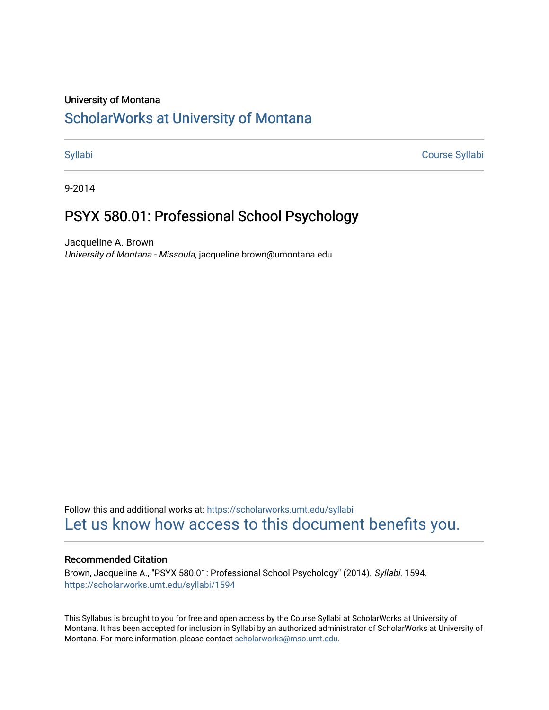#### University of Montana

# [ScholarWorks at University of Montana](https://scholarworks.umt.edu/)

[Syllabi](https://scholarworks.umt.edu/syllabi) [Course Syllabi](https://scholarworks.umt.edu/course_syllabi) 

9-2014

# PSYX 580.01: Professional School Psychology

Jacqueline A. Brown University of Montana - Missoula, jacqueline.brown@umontana.edu

Follow this and additional works at: [https://scholarworks.umt.edu/syllabi](https://scholarworks.umt.edu/syllabi?utm_source=scholarworks.umt.edu%2Fsyllabi%2F1594&utm_medium=PDF&utm_campaign=PDFCoverPages)  [Let us know how access to this document benefits you.](https://goo.gl/forms/s2rGfXOLzz71qgsB2) 

#### Recommended Citation

Brown, Jacqueline A., "PSYX 580.01: Professional School Psychology" (2014). Syllabi. 1594. [https://scholarworks.umt.edu/syllabi/1594](https://scholarworks.umt.edu/syllabi/1594?utm_source=scholarworks.umt.edu%2Fsyllabi%2F1594&utm_medium=PDF&utm_campaign=PDFCoverPages)

This Syllabus is brought to you for free and open access by the Course Syllabi at ScholarWorks at University of Montana. It has been accepted for inclusion in Syllabi by an authorized administrator of ScholarWorks at University of Montana. For more information, please contact [scholarworks@mso.umt.edu.](mailto:scholarworks@mso.umt.edu)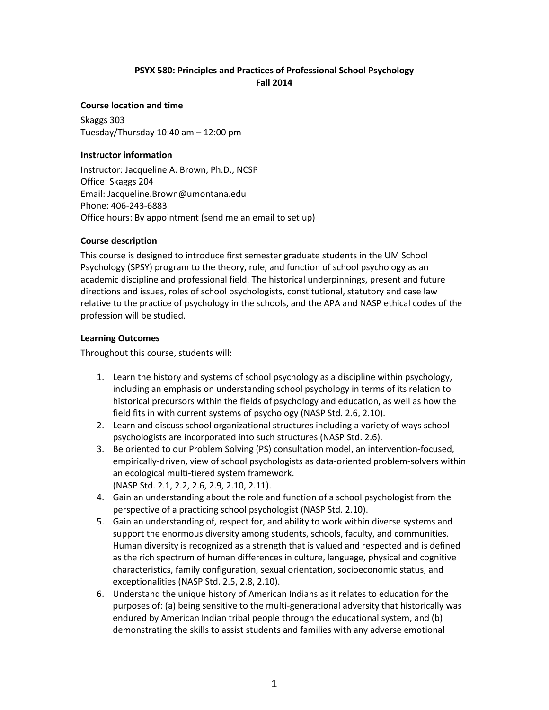## **PSYX 580: Principles and Practices of Professional School Psychology Fall 2014**

#### **Course location and time**

Skaggs 303 Tuesday/Thursday 10:40 am – 12:00 pm

#### **Instructor information**

Instructor: Jacqueline A. Brown, Ph.D., NCSP Office: Skaggs 204 Email: Jacqueline.Brown@umontana.edu Phone: 406-243-6883 Office hours: By appointment (send me an email to set up)

#### **Course description**

This course is designed to introduce first semester graduate students in the UM School Psychology (SPSY) program to the theory, role, and function of school psychology as an academic discipline and professional field. The historical underpinnings, present and future directions and issues, roles of school psychologists, constitutional, statutory and case law relative to the practice of psychology in the schools, and the APA and NASP ethical codes of the profession will be studied.

#### **Learning Outcomes**

Throughout this course, students will:

- 1. Learn the history and systems of school psychology as a discipline within psychology, including an emphasis on understanding school psychology in terms of its relation to historical precursors within the fields of psychology and education, as well as how the field fits in with current systems of psychology (NASP Std. 2.6, 2.10).
- 2. Learn and discuss school organizational structures including a variety of ways school psychologists are incorporated into such structures (NASP Std. 2.6).
- 3. Be oriented to our Problem Solving (PS) consultation model, an intervention-focused, empirically-driven, view of school psychologists as data-oriented problem-solvers within an ecological multi-tiered system framework.
	- (NASP Std. 2.1, 2.2, 2.6, 2.9, 2.10, 2.11).
- 4. Gain an understanding about the role and function of a school psychologist from the perspective of a practicing school psychologist (NASP Std. 2.10).
- 5. Gain an understanding of, respect for, and ability to work within diverse systems and support the enormous diversity among students, schools, faculty, and communities. Human diversity is recognized as a strength that is valued and respected and is defined as the rich spectrum of human differences in culture, language, physical and cognitive characteristics, family configuration, sexual orientation, socioeconomic status, and exceptionalities (NASP Std. 2.5, 2.8, 2.10).
- 6. Understand the unique history of American Indians as it relates to education for the purposes of: (a) being sensitive to the multi-generational adversity that historically was endured by American Indian tribal people through the educational system, and (b) demonstrating the skills to assist students and families with any adverse emotional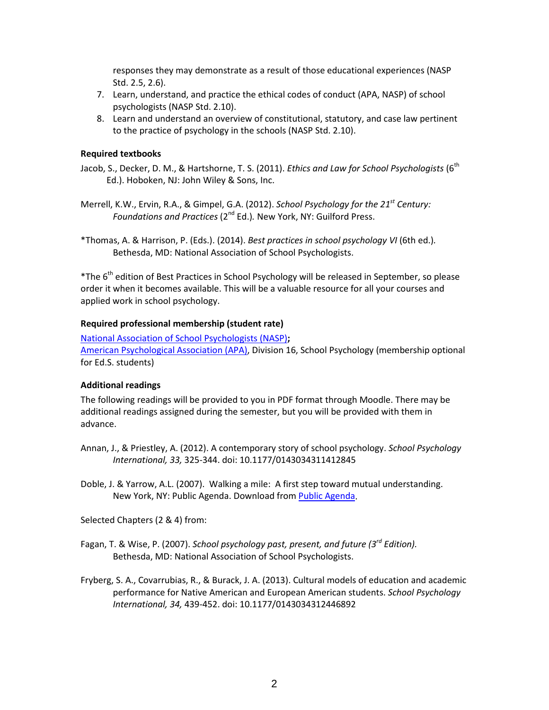responses they may demonstrate as a result of those educational experiences (NASP Std. 2.5, 2.6).

- 7. Learn, understand, and practice the ethical codes of conduct (APA, NASP) of school psychologists (NASP Std. 2.10).
- 8. Learn and understand an overview of constitutional, statutory, and case law pertinent to the practice of psychology in the schools (NASP Std. 2.10).

#### **Required textbooks**

Jacob, S., Decker, D. M., & Hartshorne, T. S. (2011). *Ethics and Law for School Psychologists* (6th Ed.). Hoboken, NJ: John Wiley & Sons, Inc.

Merrell, K.W., Ervin, R.A., & Gimpel, G.A. (2012). *School Psychology for the 21st Century: Foundations and Practices* (2<sup>nd</sup> Ed.). New York, NY: Guilford Press.

\*Thomas, A. & Harrison, P. (Eds.). (2014). *Best practices in school psychology VI* (6th ed.)*.* Bethesda, MD: National Association of School Psychologists.

\*The 6th edition of Best Practices in School Psychology will be released in September, so please order it when it becomes available. This will be a valuable resource for all your courses and applied work in school psychology.

#### **Required professional membership (student rate)**

[National Association of School Psychologists](http://www.nasponline.org/) (NASP)**;**  [American Psychological Association \(APA\),](http://www.apa.org/) Division 16, School Psychology (membership optional for Ed.S. students)

#### **Additional readings**

The following readings will be provided to you in PDF format through Moodle. There may be additional readings assigned during the semester, but you will be provided with them in advance.

Annan, J., & Priestley, A. (2012). A contemporary story of school psychology. *School Psychology International, 33,* 325-344. doi: 10.1177/0143034311412845

Doble, J. & Yarrow, A.L. (2007). Walking a mile: A first step toward mutual understanding. New York, NY: Public Agenda. Download from [Public Agenda.](http://www.publicagenda.org/)

Selected Chapters (2 & 4) from:

- Fagan, T. & Wise, P. (2007). *School psychology past, present, and future (3rd Edition).*  Bethesda, MD: National Association of School Psychologists.
- Fryberg, S. A., Covarrubias, R., & Burack, J. A. (2013). Cultural models of education and academic performance for Native American and European American students. *School Psychology International, 34,* 439-452. doi: 10.1177/0143034312446892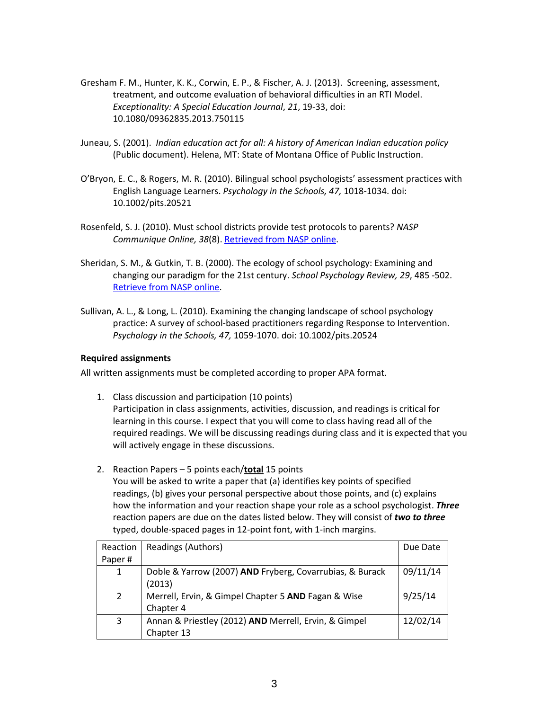- Gresham F. M., Hunter, K. K., Corwin, E. P., & Fischer, A. J. (2013). Screening, assessment, treatment, and outcome evaluation of behavioral difficulties in an RTI Model. *Exceptionality: A Special Education Journal*, *21*, 19-33, doi: 10.1080/09362835.2013.750115
- Juneau, S. (2001). *Indian education act for all: A history of American Indian education policy* (Public document). Helena, MT: State of Montana Office of Public Instruction.
- O'Bryon, E. C., & Rogers, M. R. (2010). Bilingual school psychologists' assessment practices with English Language Learners. *Psychology in the Schools, 47,* 1018-1034. doi: 10.1002/pits.20521
- Rosenfeld, S. J. (2010). Must school districts provide test protocols to parents? *NASP Communique Online, 38*(8)[. Retrieved from NASP online.](http://www.nasponline.org/publications/cq/index.aspx?vol=38&issue=8)
- Sheridan, S. M., & Gutkin, T. B. (2000). The ecology of school psychology: Examining and changing our paradigm for the 21st century. *School Psychology Review, 29*, 485 -502. Retrieve from NASP online.
- Sullivan, A. L., & Long, L. (2010). Examining the changing landscape of school psychology practice: A survey of school-based practitioners regarding Response to Intervention. *Psychology in the Schools, 47,* 1059-1070. doi: 10.1002/pits.20524

#### **Required assignments**

All written assignments must be completed according to proper APA format.

- 1. Class discussion and participation (10 points) Participation in class assignments, activities, discussion, and readings is critical for learning in this course. I expect that you will come to class having read all of the required readings. We will be discussing readings during class and it is expected that you will actively engage in these discussions.
- 2. Reaction Papers 5 points each/**total** 15 points You will be asked to write a paper that (a) identifies key points of specified readings, (b) gives your personal perspective about those points, and (c) explains how the information and your reaction shape your role as a school psychologist. *Three* reaction papers are due on the dates listed below. They will consist of *two to three* typed, double-spaced pages in 12-point font, with 1-inch margins.

| Reaction     | Readings (Authors)                                       | Due Date |
|--------------|----------------------------------------------------------|----------|
| Paper#       |                                                          |          |
| $\mathbf{1}$ | Doble & Yarrow (2007) AND Fryberg, Covarrubias, & Burack | 09/11/14 |
|              | (2013)                                                   |          |
| $\mathbf{2}$ | Merrell, Ervin, & Gimpel Chapter 5 AND Fagan & Wise      | 9/25/14  |
|              | Chapter 4                                                |          |
| 3            | Annan & Priestley (2012) AND Merrell, Ervin, & Gimpel    | 12/02/14 |
|              | Chapter 13                                               |          |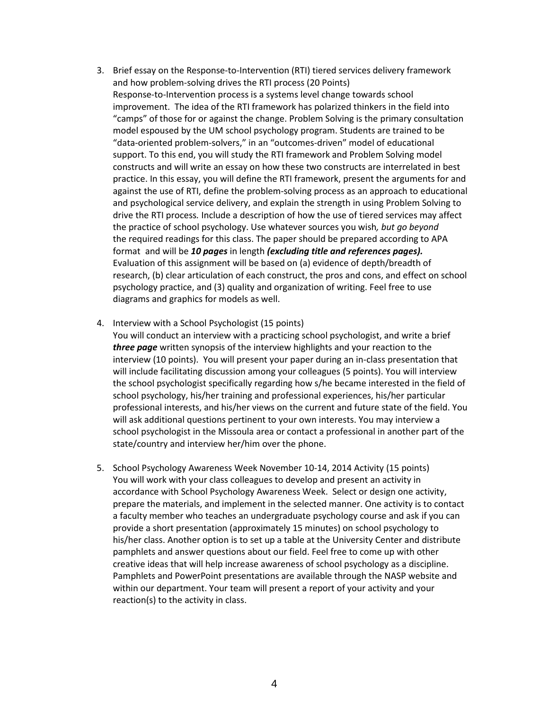- 3. Brief essay on the Response-to-Intervention (RTI) tiered services delivery framework and how problem-solving drives the RTI process (20 Points) Response-to-Intervention process is a systems level change towards school improvement. The idea of the RTI framework has polarized thinkers in the field into "camps" of those for or against the change. Problem Solving is the primary consultation model espoused by the UM school psychology program. Students are trained to be "data-oriented problem-solvers," in an "outcomes-driven" model of educational support. To this end, you will study the RTI framework and Problem Solving model constructs and will write an essay on how these two constructs are interrelated in best practice. In this essay, you will define the RTI framework, present the arguments for and against the use of RTI, define the problem-solving process as an approach to educational and psychological service delivery, and explain the strength in using Problem Solving to drive the RTI process*.* Include a description of how the use of tiered services may affect the practice of school psychology. Use whatever sources you wish*, but go beyond*  the required readings for this class. The paper should be prepared according to APA format and will be *10 pages* in length *(excluding title and references pages).* Evaluation of this assignment will be based on (a) evidence of depth/breadth of research, (b) clear articulation of each construct, the pros and cons, and effect on school psychology practice, and (3) quality and organization of writing. Feel free to use diagrams and graphics for models as well.
- 4. Interview with a School Psychologist (15 points)

You will conduct an interview with a practicing school psychologist, and write a brief *three page* written synopsis of the interview highlights and your reaction to the interview (10 points). You will present your paper during an in-class presentation that will include facilitating discussion among your colleagues (5 points). You will interview the school psychologist specifically regarding how s/he became interested in the field of school psychology, his/her training and professional experiences, his/her particular professional interests, and his/her views on the current and future state of the field. You will ask additional questions pertinent to your own interests. You may interview a school psychologist in the Missoula area or contact a professional in another part of the state/country and interview her/him over the phone.

5. School Psychology Awareness Week November 10-14, 2014 Activity (15 points) You will work with your class colleagues to develop and present an activity in accordance with School Psychology Awareness Week. Select or design one activity, prepare the materials, and implement in the selected manner. One activity is to contact a faculty member who teaches an undergraduate psychology course and ask if you can provide a short presentation (approximately 15 minutes) on school psychology to his/her class. Another option is to set up a table at the University Center and distribute pamphlets and answer questions about our field. Feel free to come up with other creative ideas that will help increase awareness of school psychology as a discipline. Pamphlets and PowerPoint presentations are available through the NASP website and within our department. Your team will present a report of your activity and your reaction(s) to the activity in class.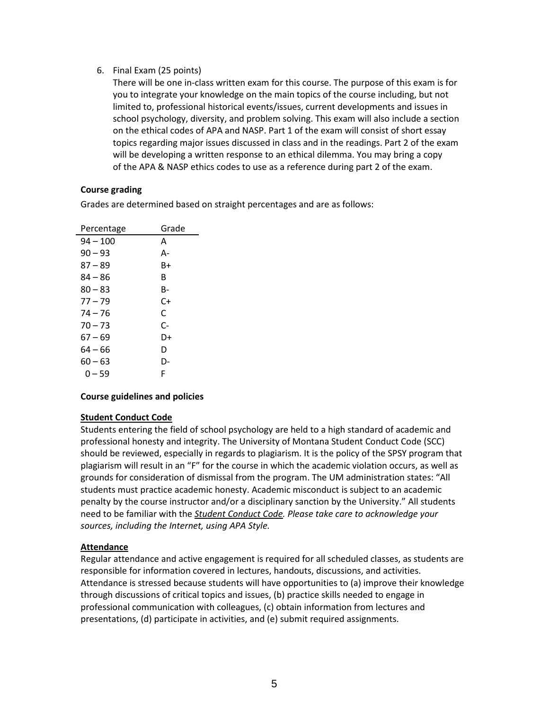### 6. Final Exam (25 points)

There will be one in-class written exam for this course. The purpose of this exam is for you to integrate your knowledge on the main topics of the course including, but not limited to, professional historical events/issues, current developments and issues in school psychology, diversity, and problem solving. This exam will also include a section on the ethical codes of APA and NASP. Part 1 of the exam will consist of short essay topics regarding major issues discussed in class and in the readings. Part 2 of the exam will be developing a written response to an ethical dilemma. You may bring a copy of the APA & NASP ethics codes to use as a reference during part 2 of the exam.

### **Course grading**

Grades are determined based on straight percentages and are as follows:

| Percentage | Grade |
|------------|-------|
| $94 - 100$ | А     |
| $90 - 93$  | А-    |
| 87 – 89    | B+    |
| 84 – 86    | R     |
| $80 - 83$  | В-    |
| $77 - 79$  | C+    |
| 74 – 76    | C     |
| $70 - 73$  | C-    |
| 67 – 69    | D+    |
| 64 – 66    | D     |
| $60 - 63$  | D-    |
| 0 – 59     | F     |

#### **Course guidelines and policies**

#### **Student Conduct Code**

Students entering the field of school psychology are held to a high standard of academic and professional honesty and integrity. The University of Montana Student Conduct Code (SCC) should be reviewed, especially in regards to plagiarism. It is the policy of the SPSY program that plagiarism will result in an "F" for the course in which the academic violation occurs, as well as grounds for consideration of dismissal from the program. The UM administration states: "All students must practice academic honesty. Academic misconduct is subject to an academic penalty by the course instructor and/or a disciplinary sanction by the University." All students need to be familiar with the *[Student Conduct Code.](http://life.umt.edu/vpsa/student_conduct.php) Please take care to acknowledge your sources, including the Internet, using APA Style.* 

## **Attendance**

Regular attendance and active engagement is required for all scheduled classes, as students are responsible for information covered in lectures, handouts, discussions, and activities. Attendance is stressed because students will have opportunities to (a) improve their knowledge through discussions of critical topics and issues, (b) practice skills needed to engage in professional communication with colleagues, (c) obtain information from lectures and presentations, (d) participate in activities, and (e) submit required assignments.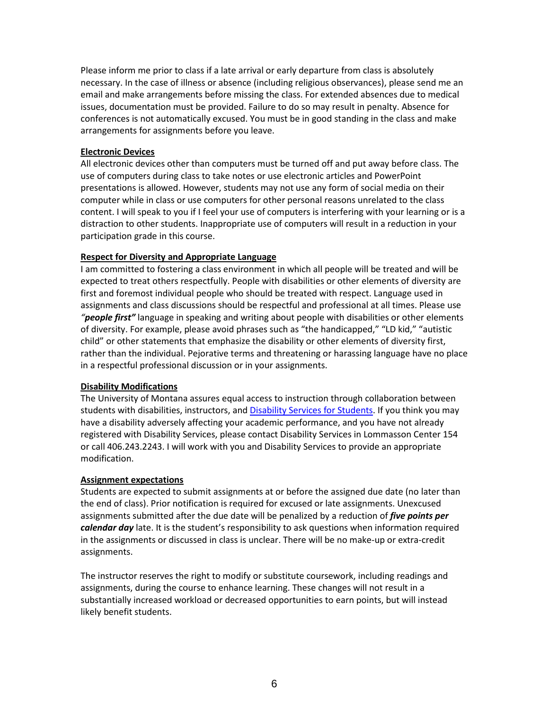Please inform me prior to class if a late arrival or early departure from class is absolutely necessary. In the case of illness or absence (including religious observances), please send me an email and make arrangements before missing the class. For extended absences due to medical issues, documentation must be provided. Failure to do so may result in penalty. Absence for conferences is not automatically excused. You must be in good standing in the class and make arrangements for assignments before you leave.

#### **Electronic Devices**

All electronic devices other than computers must be turned off and put away before class. The use of computers during class to take notes or use electronic articles and PowerPoint presentations is allowed. However, students may not use any form of social media on their computer while in class or use computers for other personal reasons unrelated to the class content. I will speak to you if I feel your use of computers is interfering with your learning or is a distraction to other students. Inappropriate use of computers will result in a reduction in your participation grade in this course.

#### **Respect for Diversity and Appropriate Language**

I am committed to fostering a class environment in which all people will be treated and will be expected to treat others respectfully. People with disabilities or other elements of diversity are first and foremost individual people who should be treated with respect. Language used in assignments and class discussions should be respectful and professional at all times. Please use *"people first"* language in speaking and writing about people with disabilities or other elements of diversity. For example, please avoid phrases such as "the handicapped," "LD kid," "autistic child" or other statements that emphasize the disability or other elements of diversity first, rather than the individual. Pejorative terms and threatening or harassing language have no place in a respectful professional discussion or in your assignments.

#### **Disability Modifications**

The University of Montana assures equal access to instruction through collaboration between students with disabilities, instructors, and [Disability Services for Students.](https://www.umt.edu/dss/default.php) If you think you may have a disability adversely affecting your academic performance, and you have not already registered with Disability Services, please contact Disability Services in Lommasson Center 154 or call 406.243.2243. I will work with you and Disability Services to provide an appropriate modification.

#### **Assignment expectations**

Students are expected to submit assignments at or before the assigned due date (no later than the end of class). Prior notification is required for excused or late assignments. Unexcused assignments submitted after the due date will be penalized by a reduction of *five points per calendar day* late. It is the student's responsibility to ask questions when information required in the assignments or discussed in class is unclear. There will be no make-up or extra-credit assignments.

The instructor reserves the right to modify or substitute coursework, including readings and assignments, during the course to enhance learning. These changes will not result in a substantially increased workload or decreased opportunities to earn points, but will instead likely benefit students.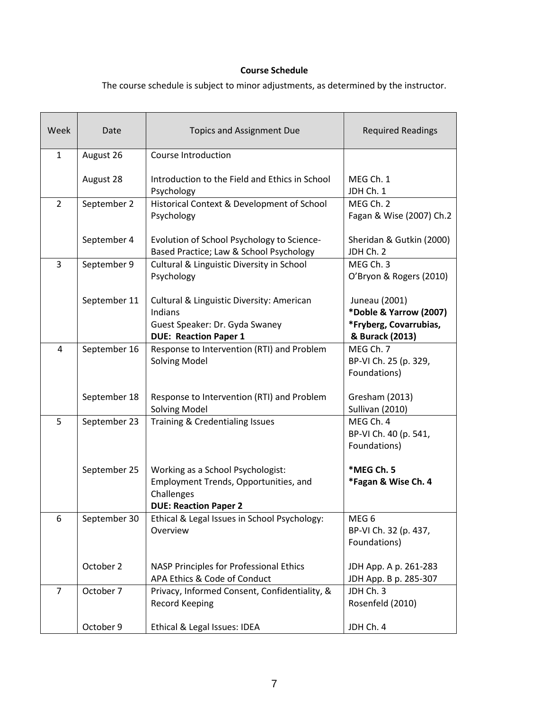## **Course Schedule**

The course schedule is subject to minor adjustments, as determined by the instructor.

| Week           | Date         | <b>Topics and Assignment Due</b>                                                                                         | <b>Required Readings</b>                                                             |
|----------------|--------------|--------------------------------------------------------------------------------------------------------------------------|--------------------------------------------------------------------------------------|
| 1              | August 26    | Course Introduction                                                                                                      |                                                                                      |
|                | August 28    | Introduction to the Field and Ethics in School<br>Psychology                                                             | MEG Ch. 1<br>JDH Ch. 1                                                               |
| $\overline{2}$ | September 2  | Historical Context & Development of School<br>Psychology                                                                 | MEG Ch. 2<br>Fagan & Wise (2007) Ch.2                                                |
|                | September 4  | Evolution of School Psychology to Science-<br>Based Practice; Law & School Psychology                                    | Sheridan & Gutkin (2000)<br>JDH Ch. 2                                                |
| $\overline{3}$ | September 9  | Cultural & Linguistic Diversity in School<br>Psychology                                                                  | MEG Ch. 3<br>O'Bryon & Rogers (2010)                                                 |
|                | September 11 | Cultural & Linguistic Diversity: American<br>Indians<br>Guest Speaker: Dr. Gyda Swaney<br><b>DUE: Reaction Paper 1</b>   | Juneau (2001)<br>*Doble & Yarrow (2007)<br>*Fryberg, Covarrubias,<br>& Burack (2013) |
| 4              | September 16 | Response to Intervention (RTI) and Problem<br><b>Solving Model</b>                                                       | MEG Ch. 7<br>BP-VI Ch. 25 (p. 329,<br>Foundations)                                   |
|                | September 18 | Response to Intervention (RTI) and Problem<br><b>Solving Model</b>                                                       | Gresham (2013)<br>Sullivan (2010)                                                    |
| 5              | September 23 | Training & Credentialing Issues                                                                                          | MEG Ch. 4<br>BP-VI Ch. 40 (p. 541,<br>Foundations)                                   |
|                | September 25 | Working as a School Psychologist:<br>Employment Trends, Opportunities, and<br>Challenges<br><b>DUE: Reaction Paper 2</b> | *MEG Ch. 5<br>*Fagan & Wise Ch. 4                                                    |
| 6              | September 30 | Ethical & Legal Issues in School Psychology:<br>Overview                                                                 | MEG <sub>6</sub><br>BP-VI Ch. 32 (p. 437,<br>Foundations)                            |
|                | October 2    | NASP Principles for Professional Ethics<br>APA Ethics & Code of Conduct                                                  | JDH App. A p. 261-283<br>JDH App. B p. 285-307                                       |
| $\overline{7}$ | October 7    | Privacy, Informed Consent, Confidentiality, &<br><b>Record Keeping</b>                                                   | JDH Ch. 3<br>Rosenfeld (2010)                                                        |
|                | October 9    | Ethical & Legal Issues: IDEA                                                                                             | JDH Ch. 4                                                                            |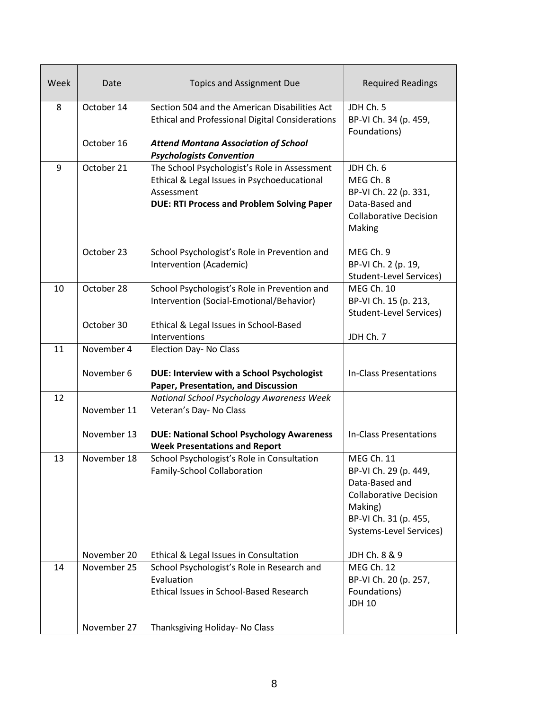| Week | Date        | <b>Topics and Assignment Due</b>                                                                                                                               | <b>Required Readings</b>                                                                                                                                     |
|------|-------------|----------------------------------------------------------------------------------------------------------------------------------------------------------------|--------------------------------------------------------------------------------------------------------------------------------------------------------------|
| 8    | October 14  | Section 504 and the American Disabilities Act<br><b>Ethical and Professional Digital Considerations</b>                                                        | JDH Ch. 5<br>BP-VI Ch. 34 (p. 459,<br>Foundations)                                                                                                           |
|      | October 16  | <b>Attend Montana Association of School</b><br><b>Psychologists Convention</b>                                                                                 |                                                                                                                                                              |
| 9    | October 21  | The School Psychologist's Role in Assessment<br>Ethical & Legal Issues in Psychoeducational<br>Assessment<br><b>DUE: RTI Process and Problem Solving Paper</b> | JDH Ch. 6<br>MEG Ch. 8<br>BP-VI Ch. 22 (p. 331,<br>Data-Based and<br><b>Collaborative Decision</b><br>Making                                                 |
|      | October 23  | School Psychologist's Role in Prevention and<br>Intervention (Academic)                                                                                        | MEG Ch. 9<br>BP-VI Ch. 2 (p. 19,<br><b>Student-Level Services)</b>                                                                                           |
| 10   | October 28  | School Psychologist's Role in Prevention and<br>Intervention (Social-Emotional/Behavior)                                                                       | <b>MEG Ch. 10</b><br>BP-VI Ch. 15 (p. 213,<br><b>Student-Level Services)</b>                                                                                 |
|      | October 30  | Ethical & Legal Issues in School-Based<br>Interventions                                                                                                        | JDH Ch. 7                                                                                                                                                    |
| 11   | November 4  | Election Day- No Class                                                                                                                                         |                                                                                                                                                              |
|      | November 6  | DUE: Interview with a School Psychologist<br>Paper, Presentation, and Discussion                                                                               | In-Class Presentations                                                                                                                                       |
| 12   | November 11 | National School Psychology Awareness Week<br>Veteran's Day- No Class                                                                                           |                                                                                                                                                              |
|      | November 13 | <b>DUE: National School Psychology Awareness</b><br><b>Week Presentations and Report</b>                                                                       | <b>In-Class Presentations</b>                                                                                                                                |
| 13   | November 18 | School Psychologist's Role in Consultation<br>Family-School Collaboration                                                                                      | <b>MEG Ch. 11</b><br>BP-VI Ch. 29 (p. 449,<br>Data-Based and<br><b>Collaborative Decision</b><br>Making)<br>BP-VI Ch. 31 (p. 455,<br>Systems-Level Services) |
|      | November 20 | Ethical & Legal Issues in Consultation                                                                                                                         | JDH Ch. 8 & 9                                                                                                                                                |
| 14   | November 25 | School Psychologist's Role in Research and<br>Evaluation<br>Ethical Issues in School-Based Research                                                            | MEG Ch. 12<br>BP-VI Ch. 20 (p. 257,<br>Foundations)<br><b>JDH 10</b>                                                                                         |
|      | November 27 | Thanksgiving Holiday- No Class                                                                                                                                 |                                                                                                                                                              |